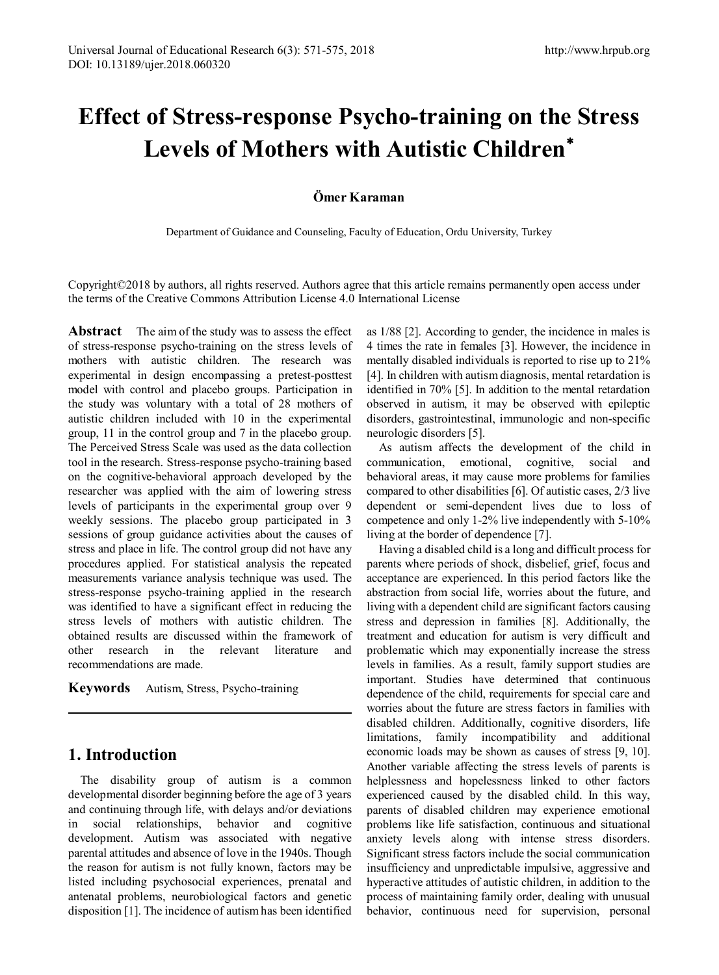# **Effect of Stress-response Psycho-training on the Stress Levels of Mothers with Autistic Children**[∗](#page-4-0)

### **Ömer Karaman**

Department of Guidance and Counseling, Faculty of Education, Ordu University, Turkey

Copyright©2018 by authors, all rights reserved. Authors agree that this article remains permanently open access under the terms of the Creative Commons Attribution License 4.0 International License

**Abstract** The aim of the study was to assess the effect of stress-response psycho-training on the stress levels of mothers with autistic children. The research was experimental in design encompassing a pretest-posttest model with control and placebo groups. Participation in the study was voluntary with a total of 28 mothers of autistic children included with 10 in the experimental group, 11 in the control group and 7 in the placebo group. The Perceived Stress Scale was used as the data collection tool in the research. Stress-response psycho-training based on the cognitive-behavioral approach developed by the researcher was applied with the aim of lowering stress levels of participants in the experimental group over 9 weekly sessions. The placebo group participated in 3 sessions of group guidance activities about the causes of stress and place in life. The control group did not have any procedures applied. For statistical analysis the repeated measurements variance analysis technique was used. The stress-response psycho-training applied in the research was identified to have a significant effect in reducing the stress levels of mothers with autistic children. The obtained results are discussed within the framework of other research in the relevant literature and recommendations are made.

**Keywords** Autism, Stress, Psycho-training

## **1. Introduction**

The disability group of autism is a common developmental disorder beginning before the age of 3 years and continuing through life, with delays and/or deviations in social relationships, behavior and cognitive development. Autism was associated with negative parental attitudes and absence of love in the 1940s. Though the reason for autism is not fully known, factors may be listed including psychosocial experiences, prenatal and antenatal problems, neurobiological factors and genetic disposition [1]. The incidence of autism has been identified

as 1/88 [2]. According to gender, the incidence in males is 4 times the rate in females [3]. However, the incidence in mentally disabled individuals is reported to rise up to 21% [4]. In children with autism diagnosis, mental retardation is identified in 70% [5]. In addition to the mental retardation observed in autism, it may be observed with epileptic disorders, gastrointestinal, immunologic and non-specific neurologic disorders [5].

As autism affects the development of the child in communication, emotional, cognitive, social and behavioral areas, it may cause more problems for families compared to other disabilities [6]. Of autistic cases, 2/3 live dependent or semi-dependent lives due to loss of competence and only 1-2% live independently with 5-10% living at the border of dependence [7].

Having a disabled child is a long and difficult process for parents where periods of shock, disbelief, grief, focus and acceptance are experienced. In this period factors like the abstraction from social life, worries about the future, and living with a dependent child are significant factors causing stress and depression in families [8]. Additionally, the treatment and education for autism is very difficult and problematic which may exponentially increase the stress levels in families. As a result, family support studies are important. Studies have determined that continuous dependence of the child, requirements for special care and worries about the future are stress factors in families with disabled children. Additionally, cognitive disorders, life limitations, family incompatibility and additional economic loads may be shown as causes of stress [9, 10]. Another variable affecting the stress levels of parents is helplessness and hopelessness linked to other factors experienced caused by the disabled child. In this way, parents of disabled children may experience emotional problems like life satisfaction, continuous and situational anxiety levels along with intense stress disorders. Significant stress factors include the social communication insufficiency and unpredictable impulsive, aggressive and hyperactive attitudes of autistic children, in addition to the process of maintaining family order, dealing with unusual behavior, continuous need for supervision, personal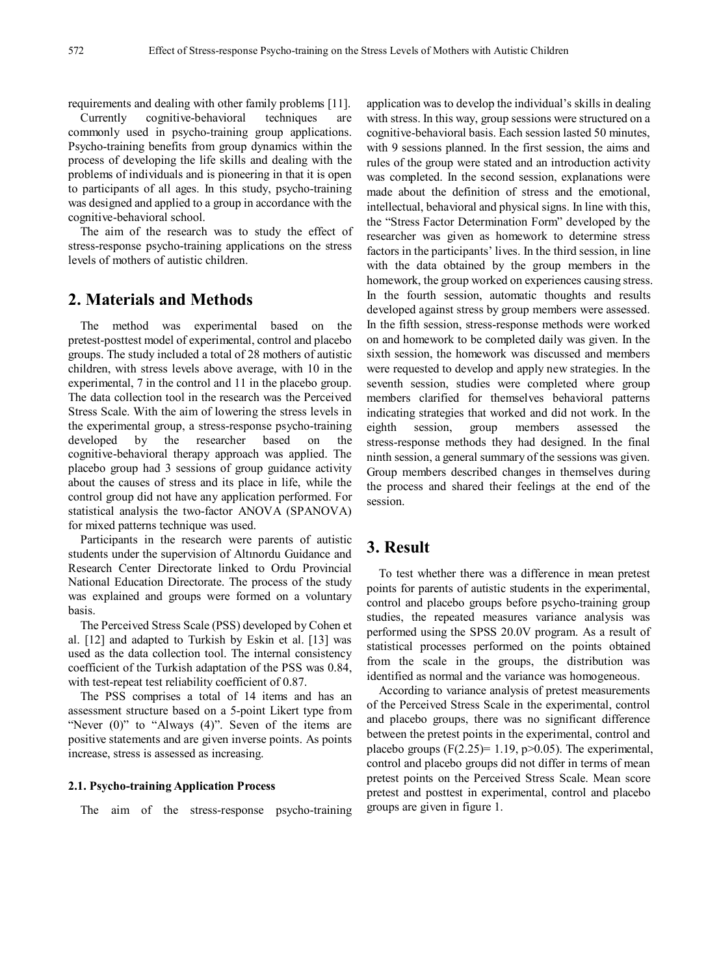requirements and dealing with other family problems [11].

Currently cognitive-behavioral techniques are commonly used in psycho-training group applications. Psycho-training benefits from group dynamics within the process of developing the life skills and dealing with the problems of individuals and is pioneering in that it is open to participants of all ages. In this study, psycho-training was designed and applied to a group in accordance with the cognitive-behavioral school.

The aim of the research was to study the effect of stress-response psycho-training applications on the stress levels of mothers of autistic children.

## **2. Materials and Methods**

The method was experimental based on the pretest-posttest model of experimental, control and placebo groups. The study included a total of 28 mothers of autistic children, with stress levels above average, with 10 in the experimental, 7 in the control and 11 in the placebo group. The data collection tool in the research was the Perceived Stress Scale. With the aim of lowering the stress levels in the experimental group, a stress-response psycho-training developed by the researcher based on the cognitive-behavioral therapy approach was applied. The placebo group had 3 sessions of group guidance activity about the causes of stress and its place in life, while the control group did not have any application performed. For statistical analysis the two-factor ANOVA (SPANOVA) for mixed patterns technique was used.

Participants in the research were parents of autistic students under the supervision of Altınordu Guidance and Research Center Directorate linked to Ordu Provincial National Education Directorate. The process of the study was explained and groups were formed on a voluntary basis.

The Perceived Stress Scale (PSS) developed by Cohen et al. [12] and adapted to Turkish by Eskin et al. [13] was used as the data collection tool. The internal consistency coefficient of the Turkish adaptation of the PSS was 0.84, with test-repeat test reliability coefficient of 0.87.

The PSS comprises a total of 14 items and has an assessment structure based on a 5-point Likert type from "Never (0)" to "Always (4)". Seven of the items are positive statements and are given inverse points. As points increase, stress is assessed as increasing.

#### **2.1. Psycho-training Application Process**

The aim of the stress-response psycho-training

application was to develop the individual's skills in dealing with stress. In this way, group sessions were structured on a cognitive-behavioral basis. Each session lasted 50 minutes, with 9 sessions planned. In the first session, the aims and rules of the group were stated and an introduction activity was completed. In the second session, explanations were made about the definition of stress and the emotional, intellectual, behavioral and physical signs. In line with this, the "Stress Factor Determination Form" developed by the researcher was given as homework to determine stress factors in the participants' lives. In the third session, in line with the data obtained by the group members in the homework, the group worked on experiences causing stress. In the fourth session, automatic thoughts and results developed against stress by group members were assessed. In the fifth session, stress-response methods were worked on and homework to be completed daily was given. In the sixth session, the homework was discussed and members were requested to develop and apply new strategies. In the seventh session, studies were completed where group members clarified for themselves behavioral patterns indicating strategies that worked and did not work. In the eighth session, group members assessed the stress-response methods they had designed. In the final ninth session, a general summary of the sessions was given. Group members described changes in themselves during the process and shared their feelings at the end of the session.

## **3. Result**

To test whether there was a difference in mean pretest points for parents of autistic students in the experimental, control and placebo groups before psycho-training group studies, the repeated measures variance analysis was performed using the SPSS 20.0V program. As a result of statistical processes performed on the points obtained from the scale in the groups, the distribution was identified as normal and the variance was homogeneous.

According to variance analysis of pretest measurements of the Perceived Stress Scale in the experimental, control and placebo groups, there was no significant difference between the pretest points in the experimental, control and placebo groups  $(F(2.25)=1.19, p>0.05)$ . The experimental, control and placebo groups did not differ in terms of mean pretest points on the Perceived Stress Scale. Mean score pretest and posttest in experimental, control and placebo groups are given in figure 1.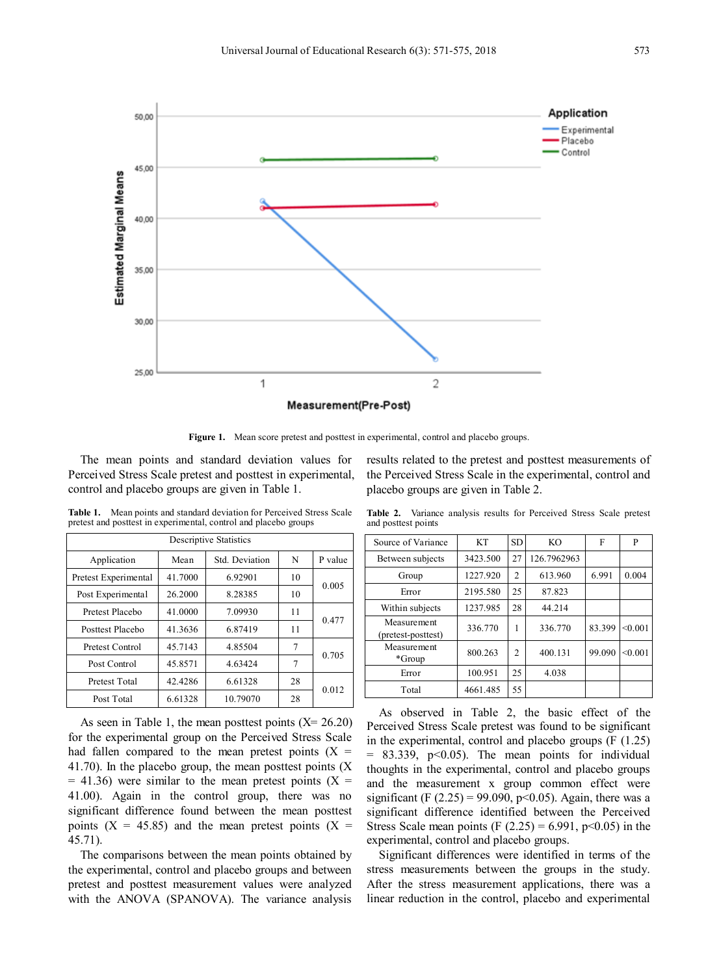

**Figure 1.** Mean score pretest and posttest in experimental, control and placebo groups.

The mean points and standard deviation values for Perceived Stress Scale pretest and posttest in experimental, control and placebo groups are given in Table 1.

**Table 1.** Mean points and standard deviation for Perceived Stress Scale pretest and posttest in experimental, control and placebo groups

| <b>Descriptive Statistics</b> |         |                |    |         |  |  |  |  |
|-------------------------------|---------|----------------|----|---------|--|--|--|--|
| Application                   | Mean    | Std. Deviation | N  | P value |  |  |  |  |
| Pretest Experimental          | 41.7000 | 6.92901        | 10 | 0.005   |  |  |  |  |
| Post Experimental             | 26.2000 | 8.28385        | 10 |         |  |  |  |  |
| Pretest Placebo               | 41.0000 | 7.09930        | 11 | 0.477   |  |  |  |  |
| Posttest Placebo              | 41.3636 | 6.87419        | 11 |         |  |  |  |  |
| Pretest Control               | 45.7143 | 4.85504        | 7  | 0.705   |  |  |  |  |
| Post Control                  | 45.8571 | 4.63424        | 7  |         |  |  |  |  |
| Pretest Total                 | 42.4286 | 6.61328        | 28 | 0.012   |  |  |  |  |
| Post Total                    | 6.61328 | 10.79070       | 28 |         |  |  |  |  |

As seen in Table 1, the mean posttest points  $(X= 26.20)$ for the experimental group on the Perceived Stress Scale had fallen compared to the mean pretest points  $(X =$ 41.70). In the placebo group, the mean posttest points (X  $= 41.36$ ) were similar to the mean pretest points (X = 41.00). Again in the control group, there was no significant difference found between the mean posttest points  $(X = 45.85)$  and the mean pretest points  $(X =$ 45.71).

The comparisons between the mean points obtained by the experimental, control and placebo groups and between pretest and posttest measurement values were analyzed with the ANOVA (SPANOVA). The variance analysis results related to the pretest and posttest measurements of the Perceived Stress Scale in the experimental, control and placebo groups are given in Table 2.

**Table 2.** Variance analysis results for Perceived Stress Scale pretest and posttest points

| Source of Variance                | KT       | <b>SD</b>      | KO.         | F      | P       |
|-----------------------------------|----------|----------------|-------------|--------|---------|
| Between subjects                  | 3423.500 | 27             | 126.7962963 |        |         |
| Group                             | 1227.920 | 2              | 613.960     | 6.991  | 0.004   |
| Error                             | 2195.580 | 25             | 87.823      |        |         |
| Within subjects                   | 1237.985 | 28             | 44.214      |        |         |
| Measurement<br>(pretest-posttest) | 336.770  | 1              | 336.770     | 83.399 | < 0.001 |
| Measurement<br>*Group             | 800.263  | $\overline{c}$ | 400.131     | 99.090 | < 0.001 |
| Error                             | 100.951  | 25             | 4.038       |        |         |
| Total                             | 4661.485 | 55             |             |        |         |

As observed in Table 2, the basic effect of the Perceived Stress Scale pretest was found to be significant in the experimental, control and placebo groups (F (1.25)  $= 83.339$ ,  $p<0.05$ ). The mean points for individual thoughts in the experimental, control and placebo groups and the measurement x group common effect were significant (F  $(2.25) = 99.090$ , p<0.05). Again, there was a significant difference identified between the Perceived Stress Scale mean points (F  $(2.25) = 6.991$ , p<0.05) in the experimental, control and placebo groups.

Significant differences were identified in terms of the stress measurements between the groups in the study. After the stress measurement applications, there was a linear reduction in the control, placebo and experimental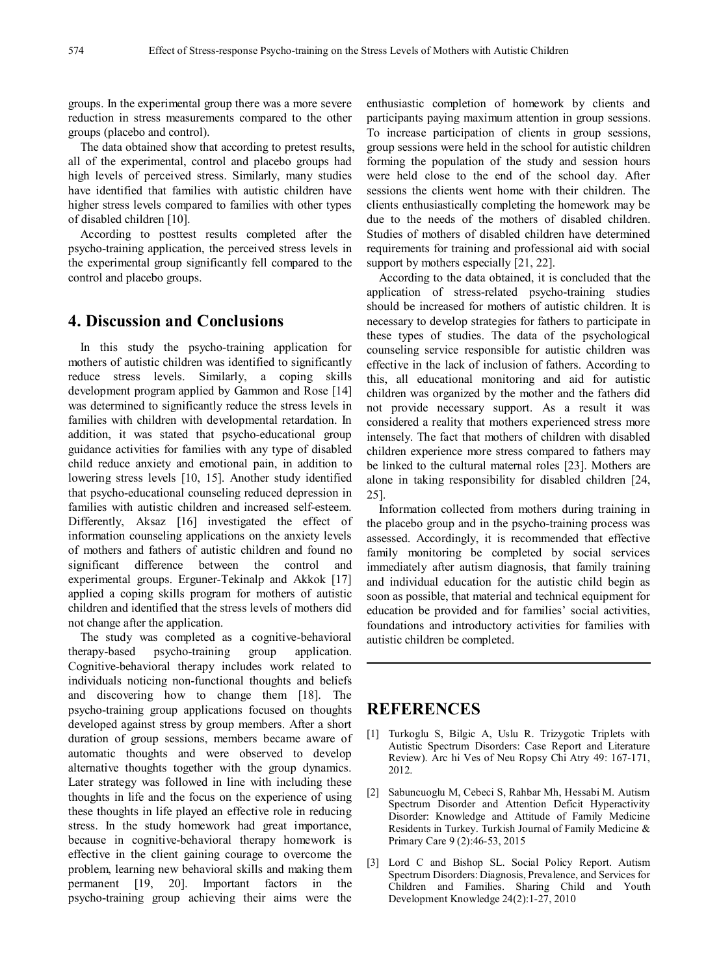groups. In the experimental group there was a more severe reduction in stress measurements compared to the other groups (placebo and control).

The data obtained show that according to pretest results, all of the experimental, control and placebo groups had high levels of perceived stress. Similarly, many studies have identified that families with autistic children have higher stress levels compared to families with other types of disabled children [10].

According to posttest results completed after the psycho-training application, the perceived stress levels in the experimental group significantly fell compared to the control and placebo groups.

## **4. Discussion and Conclusions**

In this study the psycho-training application for mothers of autistic children was identified to significantly reduce stress levels. Similarly, a coping skills development program applied by Gammon and Rose [14] was determined to significantly reduce the stress levels in families with children with developmental retardation. In addition, it was stated that psycho-educational group guidance activities for families with any type of disabled child reduce anxiety and emotional pain, in addition to lowering stress levels [10, 15]. Another study identified that psycho-educational counseling reduced depression in families with autistic children and increased self-esteem. Differently, Aksaz [16] investigated the effect of information counseling applications on the anxiety levels of mothers and fathers of autistic children and found no significant difference between the control and experimental groups. Erguner-Tekinalp and Akkok [17] applied a coping skills program for mothers of autistic children and identified that the stress levels of mothers did not change after the application.

The study was completed as a cognitive-behavioral therapy-based psycho-training group application. Cognitive-behavioral therapy includes work related to individuals noticing non-functional thoughts and beliefs and discovering how to change them [18]. The psycho-training group applications focused on thoughts developed against stress by group members. After a short duration of group sessions, members became aware of automatic thoughts and were observed to develop alternative thoughts together with the group dynamics. Later strategy was followed in line with including these thoughts in life and the focus on the experience of using these thoughts in life played an effective role in reducing stress. In the study homework had great importance, because in cognitive-behavioral therapy homework is effective in the client gaining courage to overcome the problem, learning new behavioral skills and making them permanent [19, 20]. Important factors in the psycho-training group achieving their aims were the

enthusiastic completion of homework by clients and participants paying maximum attention in group sessions. To increase participation of clients in group sessions, group sessions were held in the school for autistic children forming the population of the study and session hours were held close to the end of the school day. After sessions the clients went home with their children. The clients enthusiastically completing the homework may be due to the needs of the mothers of disabled children. Studies of mothers of disabled children have determined requirements for training and professional aid with social support by mothers especially [21, 22].

According to the data obtained, it is concluded that the application of stress-related psycho-training studies should be increased for mothers of autistic children. It is necessary to develop strategies for fathers to participate in these types of studies. The data of the psychological counseling service responsible for autistic children was effective in the lack of inclusion of fathers. According to this, all educational monitoring and aid for autistic children was organized by the mother and the fathers did not provide necessary support. As a result it was considered a reality that mothers experienced stress more intensely. The fact that mothers of children with disabled children experience more stress compared to fathers may be linked to the cultural maternal roles [23]. Mothers are alone in taking responsibility for disabled children [24, 25].

Information collected from mothers during training in the placebo group and in the psycho-training process was assessed. Accordingly, it is recommended that effective family monitoring be completed by social services immediately after autism diagnosis, that family training and individual education for the autistic child begin as soon as possible, that material and technical equipment for education be provided and for families' social activities, foundations and introductory activities for families with autistic children be completed.

## **REFERENCES**

- [1] Turkoglu S, Bilgic A, Uslu R. Trizygotic Triplets with Autistic Spectrum Disorders: Case Report and Literature Review). Arc hi Ves of Neu Ropsy Chi Atry 49: 167-171, 2012.
- [2] Sabuncuoglu M, Cebeci S, Rahbar Mh, Hessabi M. Autism Spectrum Disorder and Attention Deficit Hyperactivity Disorder: Knowledge and Attitude of Family Medicine Residents in Turkey. Turkish Journal of Family Medicine & Primary Care 9 (2):46-53, 2015
- [3] Lord C and Bishop SL. Social Policy Report. Autism Spectrum Disorders: Diagnosis, Prevalence, and Services for Children and Families. Sharing Child and Youth Development Knowledge 24(2):1-27, 2010